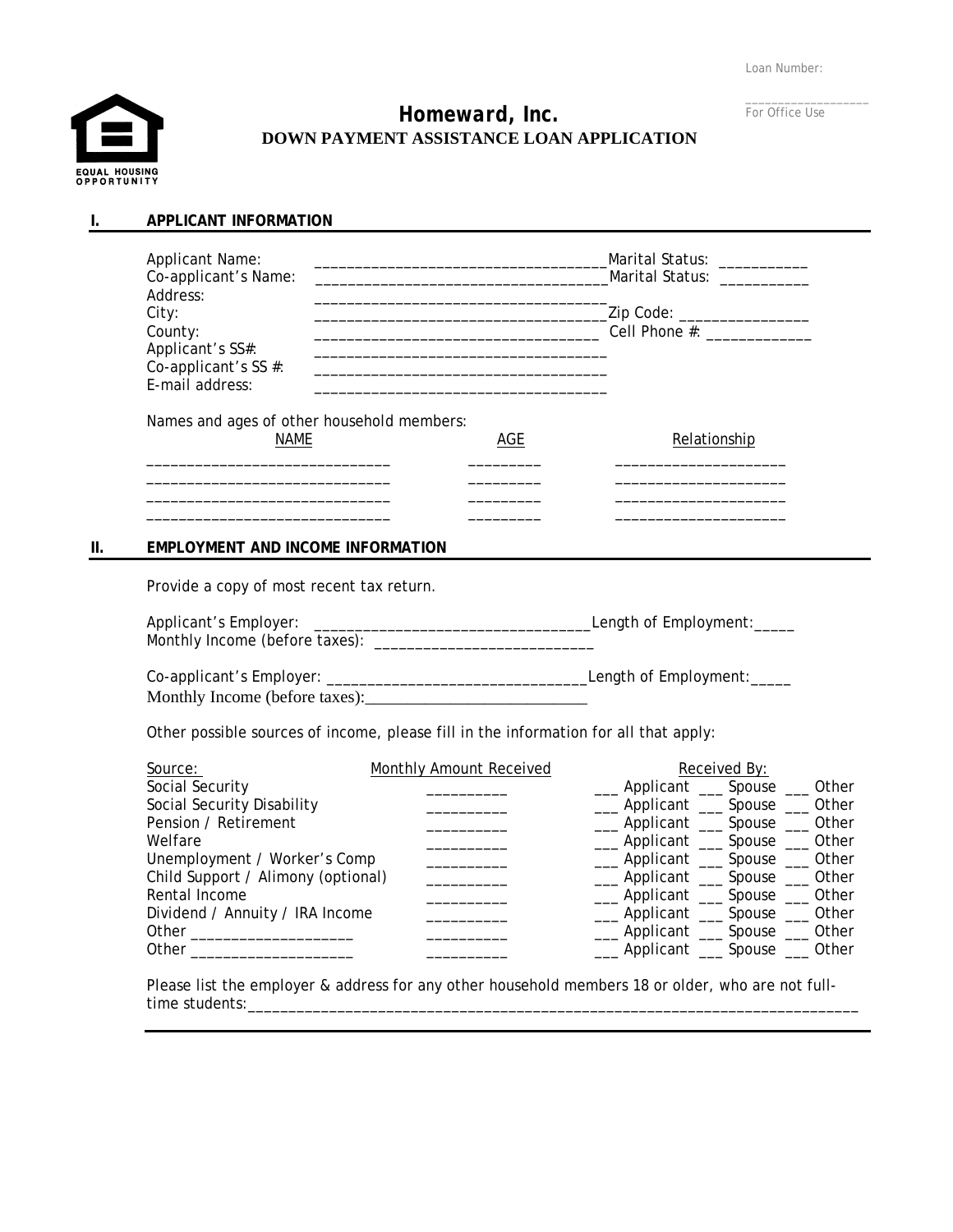Loan Number:



**I. APPLICANT INFORMATION** 

# *Homeward, Inc.*  **DOWN PAYMENT ASSISTANCE LOAN APPLICATION**

 $\_$ For Office Use

| <b>Applicant Name:</b>                     |     | Marital Status: ___________   |
|--------------------------------------------|-----|-------------------------------|
| Co-applicant's Name:                       |     |                               |
| Address:                                   |     |                               |
| City:                                      |     | _Zip Code: __________________ |
| County:                                    |     | Cell Phone #: ____________    |
| Applicant's SS#:                           |     |                               |
| Co-applicant's SS #:                       |     |                               |
| E-mail address:                            |     |                               |
| Names and ages of other household members: |     |                               |
| <b>NAME</b>                                | AGE | Relationship                  |
|                                            |     |                               |
|                                            |     |                               |
|                                            |     |                               |
|                                            |     |                               |

### **II. EMPLOYMENT AND INCOME INFORMATION**

Provide a copy of most recent tax return.

| Applicant's Employer:          | Lenath of Emplovment: |
|--------------------------------|-----------------------|
| Monthly Income (before taxes): |                       |

Co-applicant's Employer: \_\_\_\_\_\_\_\_\_\_\_\_\_\_\_\_\_\_\_\_\_\_\_\_\_\_\_\_\_\_\_\_Length of Employment:\_\_\_\_\_

Monthly Income (before taxes):

Other possible sources of income, please fill in the information for all that apply:

| Source:                            | Monthly Amount Received | Received By:                    |
|------------------------------------|-------------------------|---------------------------------|
| Social Security                    |                         | __ Applicant __ Spouse __ Other |
| Social Security Disability         |                         | __ Applicant __ Spouse __ Other |
| Pension / Retirement               |                         | __ Applicant __ Spouse __ Other |
| Welfare                            |                         | __ Applicant __ Spouse __ Other |
| Unemployment / Worker's Comp       |                         | __ Applicant __ Spouse __ Other |
| Child Support / Alimony (optional) |                         | __ Applicant __ Spouse __ Other |
| Rental Income                      |                         | __ Applicant __ Spouse __ Other |
| Dividend / Annuity / IRA Income    |                         | __ Applicant __ Spouse __ Other |
| Other                              |                         | __ Applicant __ Spouse __ Other |
| Other                              |                         | __ Applicant __ Spouse __ Other |

Please list the employer & address for any other household members 18 or older, who are not fulltime students:\_\_\_\_\_\_\_\_\_\_\_\_\_\_\_\_\_\_\_\_\_\_\_\_\_\_\_\_\_\_\_\_\_\_\_\_\_\_\_\_\_\_\_\_\_\_\_\_\_\_\_\_\_\_\_\_\_\_\_\_\_\_\_\_\_\_\_\_\_\_\_\_\_\_\_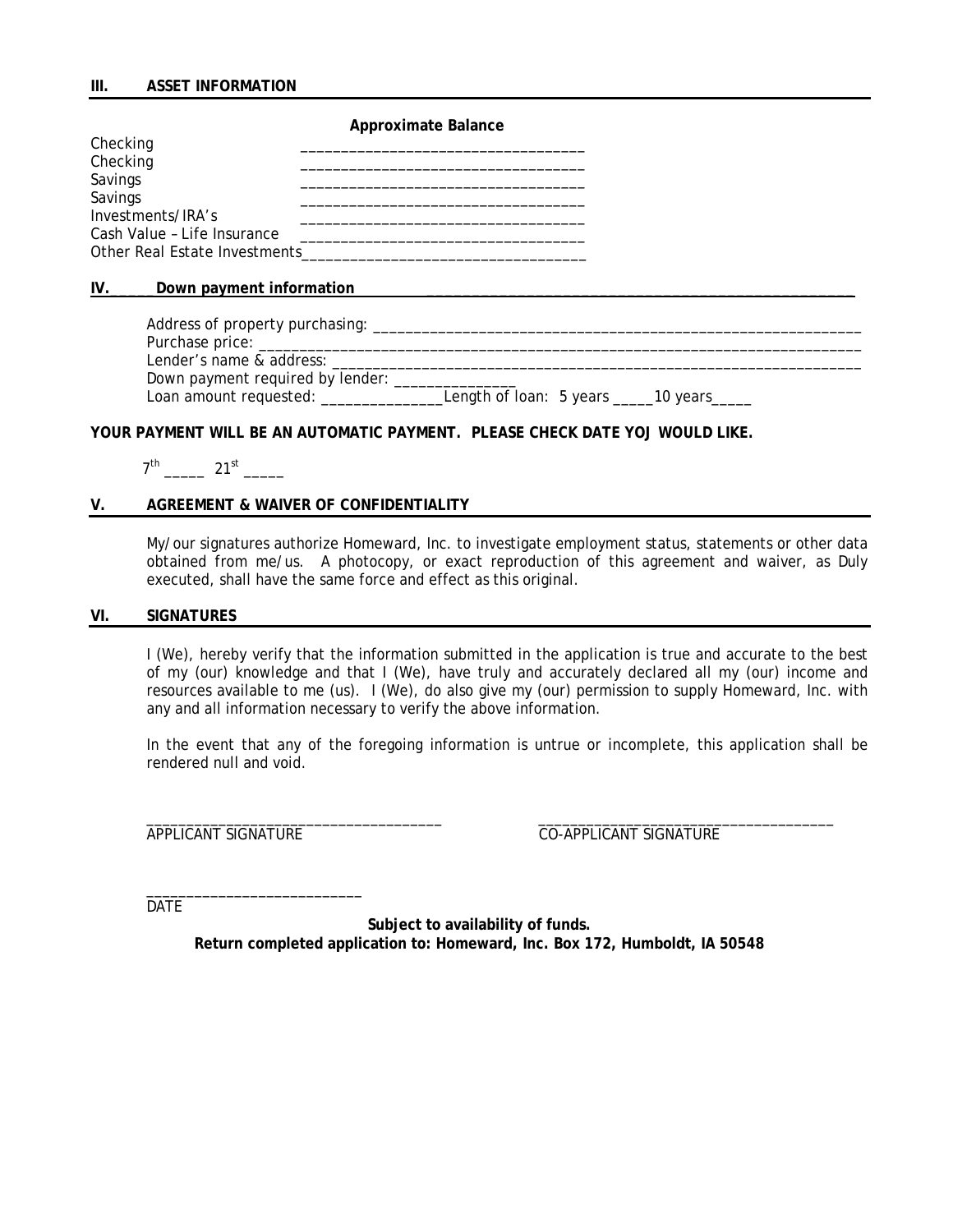**Approximate Balance** 

| Checking                      |  |
|-------------------------------|--|
| Checking                      |  |
| Savings                       |  |
| Savings                       |  |
| Investments/IRA's             |  |
| Cash Value - Life Insurance   |  |
| Other Real Estate Investments |  |

#### **IV.** Down payment information

| Address of property purchasing: ___ |                                            |
|-------------------------------------|--------------------------------------------|
| Purchase price:                     |                                            |
| Lender's name & address:            |                                            |
| Down payment required by lender:    |                                            |
| Loan amount requested: _____        | Length of loan: 5 years ______10 years____ |

### **YOUR PAYMENT WILL BE AN AUTOMATIC PAYMENT. PLEASE CHECK DATE YOJ WOULD LIKE.**

|  | s.<br>$\sim$<br>- |  |
|--|-------------------|--|
|--|-------------------|--|

### **V. AGREEMENT & WAIVER OF CONFIDENTIALITY**

My/our signatures authorize Homeward, Inc. to investigate employment status, statements or other data obtained from me/us. A photocopy, or exact reproduction of this agreement and waiver, as Duly executed, shall have the same force and effect as this original.

#### **VI. SIGNATURES**

I (We), hereby verify that the information submitted in the application is true and accurate to the best of my (our) knowledge and that I (We), have truly and accurately declared all my (our) income and resources available to me (us). I (We), do also give my (our) permission to supply Homeward, Inc. with any and all information necessary to verify the above information.

In the event that any of the foregoing information is untrue or incomplete, this application shall be rendered null and void.

 $\overline{\phantom{a}}$  ,  $\overline{\phantom{a}}$  ,  $\overline{\phantom{a}}$  ,  $\overline{\phantom{a}}$  ,  $\overline{\phantom{a}}$  ,  $\overline{\phantom{a}}$  ,  $\overline{\phantom{a}}$  ,  $\overline{\phantom{a}}$  ,  $\overline{\phantom{a}}$  ,  $\overline{\phantom{a}}$  ,  $\overline{\phantom{a}}$  ,  $\overline{\phantom{a}}$  ,  $\overline{\phantom{a}}$  ,  $\overline{\phantom{a}}$  ,  $\overline{\phantom{a}}$  ,  $\overline{\phantom{a}}$ 

APPLICANT SIGNATURE CO-APPLICANT SIGNATURE

DATE

**Subject to availability of funds. Return completed application to: Homeward, Inc. Box 172, Humboldt, IA 50548** 

 $\overline{\phantom{a}}$  , and the contribution of the contribution of the contribution of the contribution of the contribution of the contribution of the contribution of the contribution of the contribution of the contribution of the